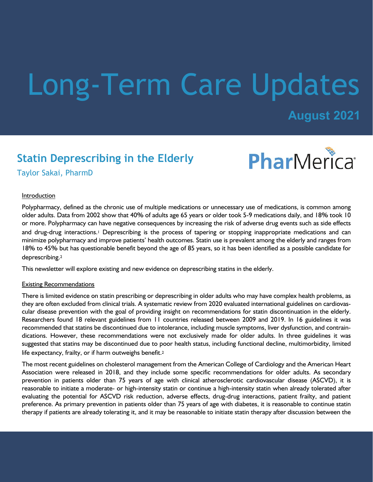# Long-Term Care Updates

# **August 2021**

# **Statin Deprescribing in the Elderly**



Taylor Sakai, PharmD

## Introduction

Polypharmacy, defined as the chronic use of multiple medications or unnecessary use of medications, is common among older adults. Data from 2002 show that 40% of adults age 65 years or older took 5-9 medications daily, and 18% took 10 or more. Polypharmacy can have negative consequences by increasing the risk of adverse drug events such as side effects and drug-drug interactions.1 Deprescribing is the process of tapering or stopping inappropriate medications and can minimize polypharmacy and improve patients' health outcomes. Statin use is prevalent among the elderly and ranges from 18% to 45% but has questionable benefit beyond the age of 85 years, so it has been identified as a possible candidate for deprescribing.<sup>2</sup>

This newsletter will explore existing and new evidence on deprescribing statins in the elderly.

# Existing Recommendations

There is limited evidence on statin prescribing or deprescribing in older adults who may have complex health problems, as they are often excluded from clinical trials. A systematic review from 2020 evaluated international guidelines on cardiovascular disease prevention with the goal of providing insight on recommendations for statin discontinuation in the elderly. Researchers found 18 relevant guidelines from 11 countries released between 2009 and 2019. In 16 guidelines it was recommended that statins be discontinued due to intolerance, including muscle symptoms, liver dysfunction, and contraindications. However, these recommendations were not exclusively made for older adults. In three guidelines it was suggested that statins may be discontinued due to poor health status, including functional decline, multimorbidity, limited life expectancy, frailty, or if harm outweighs benefit.<sup>2</sup>

The most recent guidelines on cholesterol management from the American College of Cardiology and the American Heart Association were released in 2018, and they include some specific recommendations for older adults. As secondary prevention in patients older than 75 years of age with clinical atherosclerotic cardiovascular disease (ASCVD), it is reasonable to initiate a moderate- or high-intensity statin or continue a high-intensity statin when already tolerated after evaluating the potential for ASCVD risk reduction, adverse effects, drug-drug interactions, patient frailty, and patient preference. As primary prevention in patients older than 75 years of age with diabetes, it is reasonable to continue statin therapy if patients are already tolerating it, and it may be reasonable to initiate statin therapy after discussion between the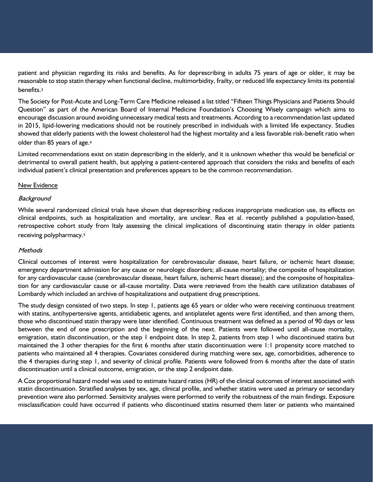patient and physician regarding its risks and benefits. As for deprescribing in adults 75 years of age or older, it may be reasonable to stop statin therapy when functional decline, multimorbidity, frailty, or reduced life expectancy limits its potential benefits.<sup>3</sup>

The Society for Post-Acute and Long-Term Care Medicine released a list titled "Fifteen Things Physicians and Patients Should Question" as part of the American Board of Internal Medicine Foundation's Choosing Wisely campaign which aims to encourage discussion around avoiding unnecessary medical tests and treatments. According to a recommendation last updated in 2015, lipid-lowering medications should not be routinely prescribed in individuals with a limited life expectancy. Studies showed that elderly patients with the lowest cholesterol had the highest mortality and a less favorable risk-benefit ratio when older than 85 years of age.<sup>4</sup>

Limited recommendations exist on statin deprescribing in the elderly, and it is unknown whether this would be beneficial or detrimental to overall patient health, but applying a patient-centered approach that considers the risks and benefits of each individual patient's clinical presentation and preferences appears to be the common recommendation.

#### New Evidence

#### **Background**

While several randomized clinical trials have shown that deprescribing reduces inappropriate medication use, its effects on clinical endpoints, such as hospitalization and mortality, are unclear. Rea et al. recently published a population-based, retrospective cohort study from Italy assessing the clinical implications of discontinuing statin therapy in older patients receiving polypharmacy.<sup>5</sup>

#### **Methods**

Clinical outcomes of interest were hospitalization for cerebrovascular disease, heart failure, or ischemic heart disease; emergency department admission for any cause or neurologic disorders; all-cause mortality; the composite of hospitalization for any cardiovascular cause (cerebrovascular disease, heart failure, ischemic heart disease); and the composite of hospitalization for any cardiovascular cause or all-cause mortality. Data were retrieved from the health care utilization databases of Lombardy which included an archive of hospitalizations and outpatient drug prescriptions.

The study design consisted of two steps. In step 1, patients age 65 years or older who were receiving continuous treatment with statins, antihypertensive agents, antidiabetic agents, and antiplatelet agents were first identified, and then among them, those who discontinued statin therapy were later identified. Continuous treatment was defined as a period of 90 days or less between the end of one prescription and the beginning of the next. Patients were followed until all-cause mortality, emigration, statin discontinuation, or the step 1 endpoint date. In step 2, patients from step 1 who discontinued statins but maintained the 3 other therapies for the first 6 months after statin discontinuation were 1:1 propensity score matched to patients who maintained all 4 therapies. Covariates considered during matching were sex, age, comorbidities, adherence to the 4 therapies during step 1, and severity of clinical profile. Patients were followed from 6 months after the date of statin discontinuation until a clinical outcome, emigration, or the step 2 endpoint date.

A Cox proportional hazard model was used to estimate hazard ratios (HR) of the clinical outcomes of interest associated with statin discontinuation. Stratified analyses by sex, age, clinical profile, and whether statins were used as primary or secondary prevention were also performed. Sensitivity analyses were performed to verify the robustness of the main findings. Exposure misclassification could have occurred if patients who discontinued statins resumed them later or patients who maintained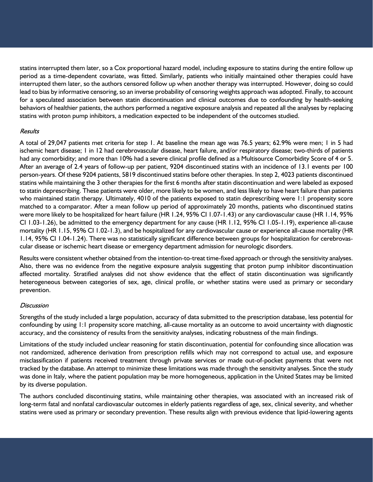statins interrupted them later, so a Cox proportional hazard model, including exposure to statins during the entire follow up period as a time-dependent covariate, was fitted. Similarly, patients who initially maintained other therapies could have interrupted them later, so the authors censored follow up when another therapy was interrupted. However, doing so could lead to bias by informative censoring, so an inverse probability of censoring weights approach was adopted. Finally, to account for a speculated association between statin discontinuation and clinical outcomes due to confounding by health-seeking behaviors of healthier patients, the authors performed a negative exposure analysis and repeated all the analyses by replacing statins with proton pump inhibitors, a medication expected to be independent of the outcomes studied.

## Results

A total of 29,047 patients met criteria for step 1. At baseline the mean age was 76.5 years; 62.9% were men; 1 in 5 had ischemic heart disease; 1 in 12 had cerebrovascular disease, heart failure, and/or respiratory disease; two-thirds of patients had any comorbidity; and more than 10% had a severe clinical profile defined as a Multisource Comorbidity Score of 4 or 5. After an average of 2.4 years of follow-up per patient, 9204 discontinued statins with an incidence of 13.1 events per 100 person-years. Of these 9204 patients, 5819 discontinued statins before other therapies. In step 2, 4023 patients discontinued statins while maintaining the 3 other therapies for the first 6 months after statin discontinuation and were labeled as exposed to statin deprescribing. These patients were older, more likely to be women, and less likely to have heart failure than patients who maintained statin therapy. Ultimately, 4010 of the patients exposed to statin deprescribing were 1:1 propensity score matched to a comparator. After a mean follow up period of approximately 20 months, patients who discontinued statins were more likely to be hospitalized for heart failure (HR 1.24, 95% CI 1.07-1.43) or any cardiovascular cause (HR 1.14, 95% CI 1.03-1.26), be admitted to the emergency department for any cause (HR 1.12, 95% CI 1.05-1.19), experience all-cause mortality (HR 1.15, 95% CI 1.02-1.3), and be hospitalized for any cardiovascular cause or experience all-cause mortality (HR 1.14, 95% CI 1.04-1.24). There was no statistically significant difference between groups for hospitalization for cerebrovascular disease or ischemic heart disease or emergency department admission for neurologic disorders.

Results were consistent whether obtained from the intention-to-treat time-fixed approach or through the sensitivity analyses. Also, there was no evidence from the negative exposure analysis suggesting that proton pump inhibitor discontinuation affected mortality. Stratified analyses did not show evidence that the effect of statin discontinuation was significantly heterogeneous between categories of sex, age, clinical profile, or whether statins were used as primary or secondary prevention.

## **Discussion**

Strengths of the study included a large population, accuracy of data submitted to the prescription database, less potential for confounding by using 1:1 propensity score matching, all-cause mortality as an outcome to avoid uncertainty with diagnostic accuracy, and the consistency of results from the sensitivity analyses, indicating robustness of the main findings.

Limitations of the study included unclear reasoning for statin discontinuation, potential for confounding since allocation was not randomized, adherence derivation from prescription refills which may not correspond to actual use, and exposure misclassification if patients received treatment through private services or made out-of-pocket payments that were not tracked by the database. An attempt to minimize these limitations was made through the sensitivity analyses. Since the study was done in Italy, where the patient population may be more homogeneous, application in the United States may be limited by its diverse population.

The authors concluded discontinuing statins, while maintaining other therapies, was associated with an increased risk of long-term fatal and nonfatal cardiovascular outcomes in elderly patients regardless of age, sex, clinical severity, and whether statins were used as primary or secondary prevention. These results align with previous evidence that lipid-lowering agents